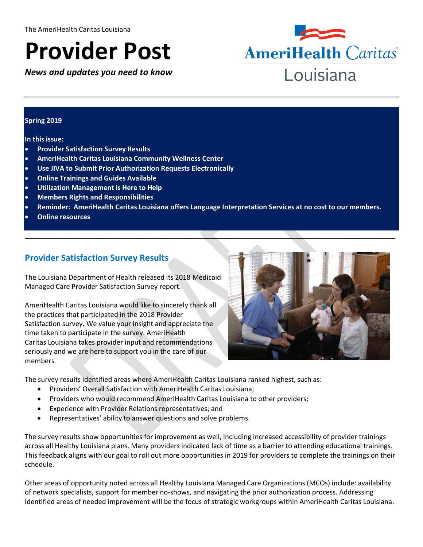# **Provider Post**

*News and updates you need to know*



#### **Spring 2019**

#### **In this issue:**

- **Provider Satisfaction Survey Results**
- **AmeriHealth Caritas Louisiana Community Wellness Center**
- **Use JIVA to Submit Prior Authorization Requests Electronically**
- **Online Trainings and Guides Available**
- **Utilization Management is Here to Help**
- **Members Rights and Responsibilities**
- **Reminder: AmeriHealth Caritas Louisiana offers Language Interpretation Services at no cost to our members.**

**\_\_\_\_\_\_\_\_\_\_\_\_\_\_\_\_\_\_\_\_\_\_\_\_\_\_\_\_\_\_\_\_\_\_\_\_\_\_\_\_\_\_\_\_\_\_\_\_\_\_\_\_\_\_\_\_\_\_\_\_\_\_\_\_\_\_\_\_\_\_\_\_\_\_\_\_\_\_\_\_\_\_\_\_\_\_\_\_\_\_\_\_\_\_\_\_\_\_**

**Online resources**

# **Provider Satisfaction Survey Results**

The Louisiana Department of Health released its 2018 Medicaid Managed Care Provider Satisfaction Survey report.

AmeriHealth Caritas Louisiana would like to sincerely thank all the practices that participated in the 2018 Provider Satisfaction survey. We value your insight and appreciate the time taken to participate in the survey. AmeriHealth Caritas Louisiana takes provider input and recommendations seriously and we are here to support you in the care of our members.



The survey results identified areas where AmeriHealth Caritas Louisiana ranked highest, such as:

- Providers' Overall Satisfaction with AmeriHealth Caritas Louisiana;
- Providers who would recommend AmeriHealth Caritas Louisiana to other providers;
- Experience with Provider Relations representatives; and
- Representatives' ability to answer questions and solve problems.

The survey results show opportunities for improvement as well, including increased accessibility of provider trainings across all Healthy Louisiana plans. Many providers indicated lack of time as a barrier to attending educational trainings. This feedback aligns with our goal to roll out more opportunities in 2019 for providers to complete the trainings on their schedule.

Other areas of opportunity noted across all Healthy Louisiana Managed Care Organizations (MCOs) include: availability of network specialists, support for member no-shows, and navigating the prior authorization process. Addressing identified areas of needed improvement will be the focus of strategic workgroups within AmeriHealth Caritas Louisiana.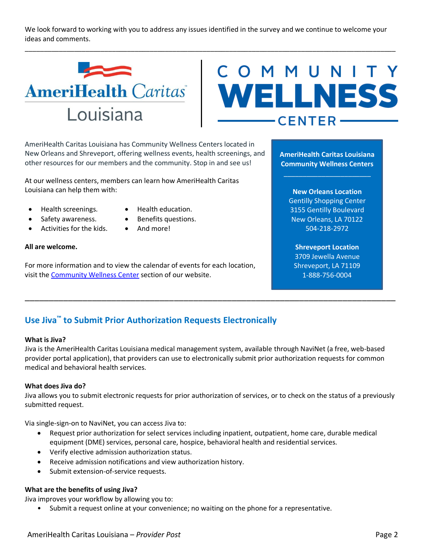We look forward to working with you to address any issues identified in the survey and we continue to welcome your ideas and comments.

\_\_\_\_\_\_\_\_\_\_\_\_\_\_\_\_\_\_\_\_\_\_\_\_\_\_\_\_\_\_\_\_\_\_\_\_\_\_\_\_\_\_\_\_\_\_\_\_\_\_\_\_\_\_\_\_\_\_\_\_\_\_\_\_\_\_\_\_\_\_\_\_\_\_\_\_\_\_\_\_\_\_\_\_\_\_\_\_\_\_\_\_\_\_\_\_\_\_



# COMMUNITY  $-$ CENTER $-$

AmeriHealth Caritas Louisiana has Community Wellness Centers located in New Orleans and Shreveport, offering wellness events, health screenings, and other resources for our members and the community. Stop in and see us!

At our wellness centers, members can learn how AmeriHealth Caritas Louisiana can help them with:

- Health screenings. Health education.
- 
- Safety awareness. Benefits questions.
- Activities for the kids.  $\bullet$  And more!
- 
- 

#### **All are welcome.**

For more information and to view the calendar of events for each location, visit the [Community Wellness Center](http://www.amerihealthcaritasla.com/community/wellness-center.aspx) section of our website.

**AmeriHealth Caritas Louisiana Community Wellness Centers**

 $\mathcal{L}_\mathcal{L}$  , where  $\mathcal{L}_\mathcal{L}$  is the set of the set of the set of the set of the set of the set of the set of the set of the set of the set of the set of the set of the set of the set of the set of the set of the

**New Orleans Location** Gentilly Shopping Center 3155 Gentilly Boulevard New Orleans, LA 70122 504-218-2972

# **Shreveport Location**

3709 Jewella Avenue Shreveport, LA 71109 1-888-756-0004

# **Use Jiva™ to Submit Prior Authorization Requests Electronically**

#### **What is Jiva?**

Jiva is the AmeriHealth Caritas Louisiana medical management system, available through NaviNet (a free, web-based provider portal application), that providers can use to electronically submit prior authorization requests for common medical and behavioral health services.

\_\_\_\_\_\_\_\_\_\_\_\_\_\_\_\_\_\_\_\_\_\_\_\_\_\_\_\_\_\_\_\_\_\_\_\_\_\_\_\_\_\_\_\_\_\_\_\_\_\_\_\_\_\_\_\_\_\_\_\_\_\_\_\_\_\_\_\_\_\_\_\_\_\_\_\_\_

#### **What does Jiva do?**

Jiva allows you to submit electronic requests for prior authorization of services, or to check on the status of a previously submitted request.

Via single-sign-on to NaviNet, you can access Jiva to:

- Request prior authorization for select services including inpatient, outpatient, home care, durable medical equipment (DME) services, personal care, hospice, behavioral health and residential services.
- Verify elective admission authorization status.
- Receive admission notifications and view authorization history.
- Submit extension-of-service requests.

#### **What are the benefits of using Jiva?**

Jiva improves your workflow by allowing you to:

• Submit a request online at your convenience; no waiting on the phone for a representative.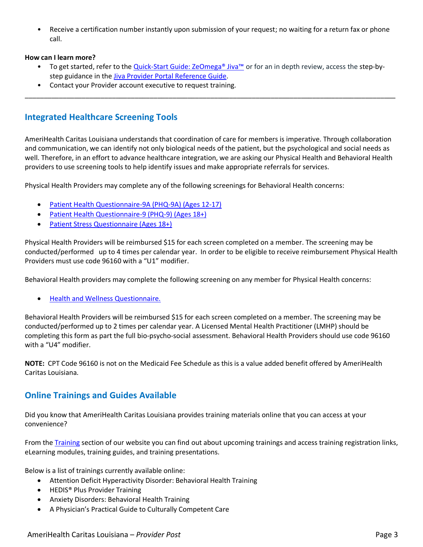• Receive a certification number instantly upon submission of your request; no waiting for a return fax or phone call.

#### **How can I learn more?**

• To get started, refer to the Quick-[Start Guide: ZeOmega® Jiva™](http://www.amerihealthcaritasla.com/pdf/provider/resources/jiva-quick-start-guide.pdf) or for an in depth review, access the step-bystep guidance in the [Jiva Provider Portal Reference Guide.](http://www.amerihealthcaritasla.com/pdf/provider/resources/navinet/jiva-provider-portal-reference-guide.pdf)

\_\_\_\_\_\_\_\_\_\_\_\_\_\_\_\_\_\_\_\_\_\_\_\_\_\_\_\_\_\_\_\_\_\_\_\_\_\_\_\_\_\_\_\_\_\_\_\_\_\_\_\_\_\_\_\_\_\_\_\_\_\_\_\_\_\_\_\_\_\_\_\_\_\_\_\_\_\_\_\_\_\_\_\_\_\_\_\_\_\_\_\_\_\_\_\_\_\_

• Contact your Provider account executive to request training.

# **Integrated Healthcare Screening Tools**

AmeriHealth Caritas Louisiana understands that coordination of care for members is imperative. Through collaboration and communication, we can identify not only biological needs of the patient, but the psychological and social needs as well. Therefore, in an effort to advance healthcare integration, we are asking our Physical Health and Behavioral Health providers to use screening tools to help identify issues and make appropriate referrals for services.

Physical Health Providers may complete any of the following screenings for Behavioral Health concerns:

- Patient [Health Questionnaire-9A \(PHQ-9A\) \(Ages 12-17\)](http://www.amerihealthcaritasla.com/pdf/provider/resources/forms/phq-a-9.pdf)
- [Patient Health Questionnaire-9 \(PHQ-9\) \(Ages 18+\)](http://www.amerihealthcaritasla.com/pdf/provider/resources/forms/phq-9.pdf)
- [Patient Stress Questionnaire \(Ages 18+\)](http://www.amerihealthcaritasla.com/pdf/provider/resources/forms/patient-stress-questionnaire.pdf)

Physical Health Providers will be reimbursed \$15 for each screen completed on a member. The screening may be conducted/performed up to 4 times per calendar year. In order to be eligible to receive reimbursement Physical Health Providers must use code 96160 with a "U1" modifier.

Behavioral Health providers may complete the following screening on any member for Physical Health concerns:

[Health and Wellness Questionnaire.](http://www.amerihealthcaritasla.com/pdf/provider/resources/forms/health-wellness-questionnaire.pdf)

Behavioral Health Providers will be reimbursed \$15 for each screen completed on a member. The screening may be conducted/performed up to 2 times per calendar year. A Licensed Mental Health Practitioner (LMHP) should be completing this form as part the full bio-psycho-social assessment. Behavioral Health Providers should use code 96160 with a "U4" modifier.

**NOTE:** CPT Code 96160 is not on the Medicaid Fee Schedule as this is a value added benefit offered by AmeriHealth Caritas Louisiana.

# **Online Trainings and Guides Available**

Did you know that AmeriHealth Caritas Louisiana provides training materials online that you can access at your convenience?

From the [Training](http://www.amerihealthcaritasla.com/provider/training/index.aspx) section of our website you can find out about upcoming trainings and access training registration links, eLearning modules, training guides, and training presentations.

Below is a list of trainings currently available online:

- Attention Deficit Hyperactivity Disorder: Behavioral Health Training
- HEDIS<sup>®</sup> Plus Provider Training
- Anxiety Disorders: Behavioral Health Training
- A Physician's Practical Guide to Culturally Competent Care

#### AmeriHealth Caritas Louisiana – *Provider Post* Page 3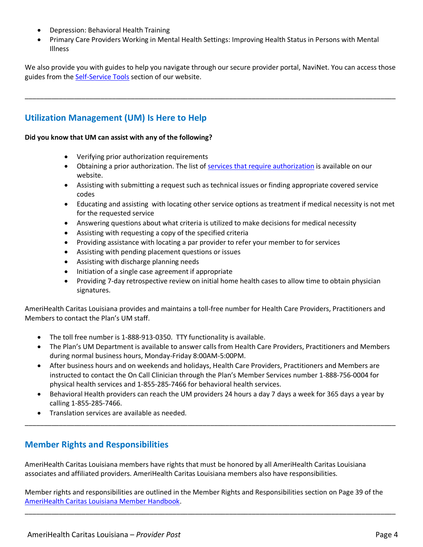- Depression: Behavioral Health Training
- Primary Care Providers Working in Mental Health Settings: Improving Health Status in Persons with Mental Illness

We also provide you with guides to help you navigate through our secure provider portal, NaviNet. You can access those guides from the [Self-Service Tools](http://www.amerihealthcaritasla.com/provider/self-service-tools/index.aspx) section of our website.

\_\_\_\_\_\_\_\_\_\_\_\_\_\_\_\_\_\_\_\_\_\_\_\_\_\_\_\_\_\_\_\_\_\_\_\_\_\_\_\_\_\_\_\_\_\_\_\_\_\_\_\_\_\_\_\_\_\_\_\_\_\_\_\_\_\_\_\_\_\_\_\_\_\_\_\_\_\_\_\_\_\_\_\_\_\_\_\_\_\_\_\_\_\_\_\_\_\_

# **Utilization Management (UM) Is Here to Help**

#### **Did you know that UM can assist with any of the following?**

- Verifying prior authorization requirements
- Obtaining a prior authorization. The list of [services that require authorization](http://www.amerihealthcaritasla.com/provider/resources/priorauth/index.aspx) is available on our website.
- Assisting with submitting a request such as technical issues or finding appropriate covered service codes
- Educating and assisting with locating other service options as treatment if medical necessity is not met for the requested service
- Answering questions about what criteria is utilized to make decisions for medical necessity
- Assisting with requesting a copy of the specified criteria
- Providing assistance with locating a par provider to refer your member to for services
- Assisting with pending placement questions or issues
- Assisting with discharge planning needs
- Initiation of a single case agreement if appropriate
- Providing 7-day retrospective review on initial home health cases to allow time to obtain physician signatures.

AmeriHealth Caritas Louisiana provides and maintains a toll-free number for Health Care Providers, Practitioners and Members to contact the Plan's UM staff.

- The toll free number is 1-888-913-0350. TTY functionality is available.
- The Plan's UM Department is available to answer calls from Health Care Providers, Practitioners and Members during normal business hours, Monday-Friday 8:00AM-5:00PM.
- After business hours and on weekends and holidays, Health Care Providers, Practitioners and Members are instructed to contact the On Call Clinician through the Plan's Member Services number 1-888-756-0004 for physical health services and 1-855-285-7466 for behavioral health services.
- Behavioral Health providers can reach the UM providers 24 hours a day 7 days a week for 365 days a year by calling 1-855-285-7466.

\_\_\_\_\_\_\_\_\_\_\_\_\_\_\_\_\_\_\_\_\_\_\_\_\_\_\_\_\_\_\_\_\_\_\_\_\_\_\_\_\_\_\_\_\_\_\_\_\_\_\_\_\_\_\_\_\_\_\_\_\_\_\_\_\_\_\_\_\_\_\_\_\_\_\_\_\_\_\_\_\_\_\_\_\_\_\_\_\_\_\_\_\_\_\_\_\_\_

Translation services are available as needed.

# **Member Rights and Responsibilities**

AmeriHealth Caritas Louisiana members have rights that must be honored by all AmeriHealth Caritas Louisiana associates and affiliated providers. AmeriHealth Caritas Louisiana members also have responsibilities.

Member rights and responsibilities are outlined in the Member Rights and Responsibilities section on Page 39 of the [AmeriHealth Caritas Louisiana Member Handbook.](http://www.amerihealthcaritasla.com/member/eng/getting-started/index.aspx)

\_\_\_\_\_\_\_\_\_\_\_\_\_\_\_\_\_\_\_\_\_\_\_\_\_\_\_\_\_\_\_\_\_\_\_\_\_\_\_\_\_\_\_\_\_\_\_\_\_\_\_\_\_\_\_\_\_\_\_\_\_\_\_\_\_\_\_\_\_\_\_\_\_\_\_\_\_\_\_\_\_\_\_\_\_\_\_\_\_\_\_\_\_\_\_\_\_\_